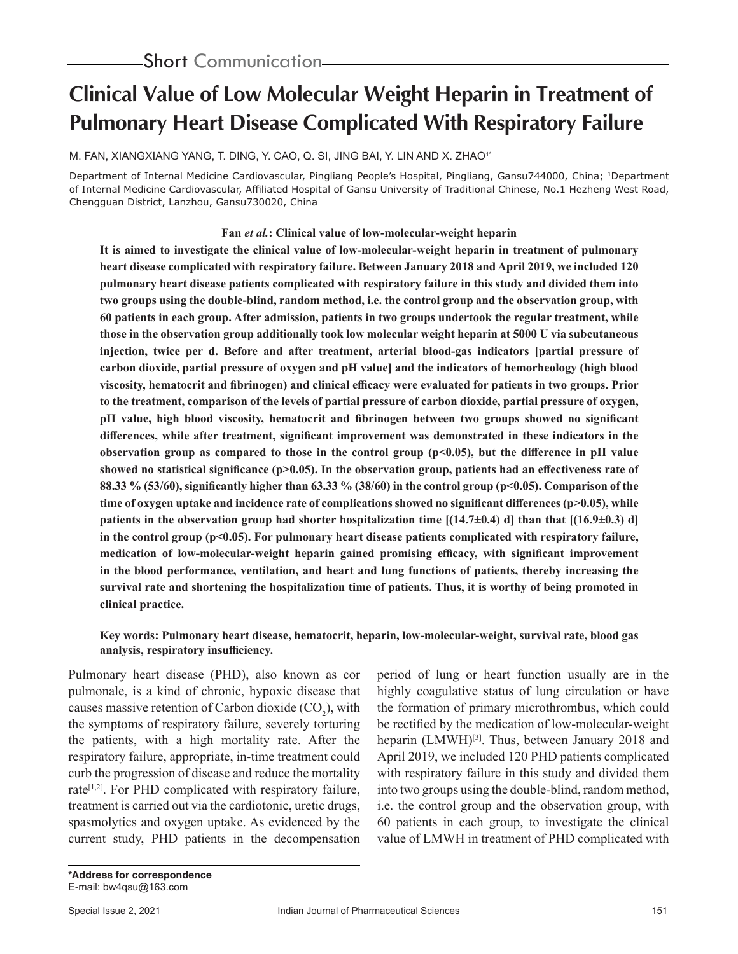# **Clinical Value of Low Molecular Weight Heparin in Treatment of Pulmonary Heart Disease Complicated With Respiratory Failure**

M. FAN, XIANGXIANG YANG, T. DING, Y. CAO, Q. SI, JING BAI, Y. LIN AND X. ZHAO<sup>1</sup>\*

Department of Internal Medicine Cardiovascular, Pingliang People's Hospital, Pingliang, Gansu744000, China; 1Department of Internal Medicine Cardiovascular, Affiliated Hospital of Gansu University of Traditional Chinese, No.1 Hezheng West Road, Chengguan District, Lanzhou, Gansu730020, China

# **Fan** *et al.***: Clinical value of low-molecular-weight heparin**

**It is aimed to investigate the clinical value of low-molecular-weight heparin in treatment of pulmonary heart disease complicated with respiratory failure. Between January 2018 and April 2019, we included 120 pulmonary heart disease patients complicated with respiratory failure in this study and divided them into two groups using the double-blind, random method, i.e. the control group and the observation group, with 60 patients in each group. After admission, patients in two groups undertook the regular treatment, while those in the observation group additionally took low molecular weight heparin at 5000 U via subcutaneous injection, twice per d. Before and after treatment, arterial blood-gas indicators [partial pressure of carbon dioxide, partial pressure of oxygen and pH value] and the indicators of hemorheology (high blood viscosity, hematocrit and fibrinogen) and clinical efficacy were evaluated for patients in two groups. Prior to the treatment, comparison of the levels of partial pressure of carbon dioxide, partial pressure of oxygen, pH value, high blood viscosity, hematocrit and fibrinogen between two groups showed no significant differences, while after treatment, significant improvement was demonstrated in these indicators in the observation group as compared to those in the control group (p<0.05), but the difference in pH value**  showed no statistical significance (p>0.05). In the observation group, patients had an effectiveness rate of **88.33 % (53/60), significantly higher than 63.33 % (38/60) in the control group (p<0.05). Comparison of the time of oxygen uptake and incidence rate of complications showed no significant differences (p>0.05), while patients in the observation group had shorter hospitalization time [(14.7±0.4) d] than that [(16.9±0.3) d]**  in the control group (p<0.05). For pulmonary heart disease patients complicated with respiratory failure, **medication of low-molecular-weight heparin gained promising efficacy, with significant improvement in the blood performance, ventilation, and heart and lung functions of patients, thereby increasing the survival rate and shortening the hospitalization time of patients. Thus, it is worthy of being promoted in clinical practice.**

# **Key words: Pulmonary heart disease, hematocrit, heparin, low-molecular-weight, survival rate, blood gas analysis, respiratory insufficiency.**

Pulmonary heart disease (PHD), also known as cor pulmonale, is a kind of chronic, hypoxic disease that causes massive retention of Carbon dioxide  $(CO_2)$ , with the symptoms of respiratory failure, severely torturing the patients, with a high mortality rate. After the respiratory failure, appropriate, in-time treatment could curb the progression of disease and reduce the mortality rate<sup>[1,2]</sup>. For PHD complicated with respiratory failure, treatment is carried out via the cardiotonic, uretic drugs, spasmolytics and oxygen uptake. As evidenced by the current study, PHD patients in the decompensation

period of lung or heart function usually are in the highly coagulative status of lung circulation or have the formation of primary microthrombus, which could be rectified by the medication of low-molecular-weight heparin (LMWH)<sup>[3]</sup>. Thus, between January 2018 and April 2019, we included 120 PHD patients complicated with respiratory failure in this study and divided them into two groups using the double-blind, random method, i.e. the control group and the observation group, with 60 patients in each group, to investigate the clinical value of LMWH in treatment of PHD complicated with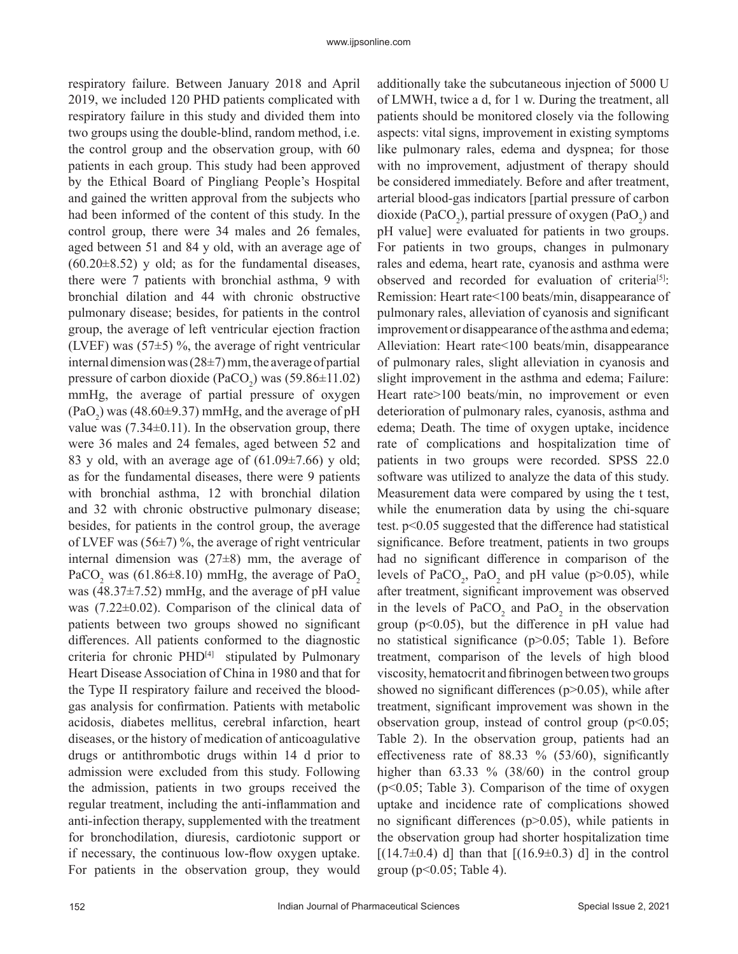respiratory failure. Between January 2018 and April 2019, we included 120 PHD patients complicated with respiratory failure in this study and divided them into two groups using the double-blind, random method, i.e. the control group and the observation group, with 60 patients in each group. This study had been approved by the Ethical Board of Pingliang People's Hospital and gained the written approval from the subjects who had been informed of the content of this study. In the control group, there were 34 males and 26 females, aged between 51 and 84 y old, with an average age of  $(60.20\pm8.52)$  y old; as for the fundamental diseases, there were 7 patients with bronchial asthma, 9 with bronchial dilation and 44 with chronic obstructive pulmonary disease; besides, for patients in the control group, the average of left ventricular ejection fraction (LVEF) was  $(57±5)$ %, the average of right ventricular internal dimension was  $(28\pm7)$  mm, the average of partial pressure of carbon dioxide (PaCO<sub>2</sub>) was  $(59.86 \pm 11.02)$ mmHg, the average of partial pressure of oxygen  $(\text{PaO}_2)$  was (48.60±9.37) mmHg, and the average of pH value was  $(7.34\pm0.11)$ . In the observation group, there were 36 males and 24 females, aged between 52 and 83 y old, with an average age of  $(61.09\pm7.66)$  y old; as for the fundamental diseases, there were 9 patients with bronchial asthma, 12 with bronchial dilation and 32 with chronic obstructive pulmonary disease; besides, for patients in the control group, the average of LVEF was  $(56\pm7)$ %, the average of right ventricular internal dimension was  $(27±8)$  mm, the average of PaCO<sub>2</sub> was (61.86 $\pm$ 8.10) mmHg, the average of PaO<sub>2</sub> was (48.37±7.52) mmHg, and the average of pH value was (7.22±0.02). Comparison of the clinical data of patients between two groups showed no significant differences. All patients conformed to the diagnostic criteria for chronic PHD[4] stipulated by Pulmonary Heart Disease Association of China in 1980 and that for the Type II respiratory failure and received the bloodgas analysis for confirmation. Patients with metabolic acidosis, diabetes mellitus, cerebral infarction, heart diseases, or the history of medication of anticoagulative drugs or antithrombotic drugs within 14 d prior to admission were excluded from this study. Following the admission, patients in two groups received the regular treatment, including the anti-inflammation and anti-infection therapy, supplemented with the treatment for bronchodilation, diuresis, cardiotonic support or if necessary, the continuous low-flow oxygen uptake. For patients in the observation group, they would

additionally take the subcutaneous injection of 5000 U of LMWH, twice a d, for 1 w. During the treatment, all patients should be monitored closely via the following aspects: vital signs, improvement in existing symptoms like pulmonary rales, edema and dyspnea; for those with no improvement, adjustment of therapy should be considered immediately. Before and after treatment, arterial blood-gas indicators [partial pressure of carbon dioxide (PaCO<sub>2</sub>), partial pressure of oxygen (PaO<sub>2</sub>) and pH value] were evaluated for patients in two groups. For patients in two groups, changes in pulmonary rales and edema, heart rate, cyanosis and asthma were observed and recorded for evaluation of criteria<sup>[5]</sup>: Remission: Heart rate<100 beats/min, disappearance of pulmonary rales, alleviation of cyanosis and significant improvement or disappearance of the asthma and edema; Alleviation: Heart rate<100 beats/min, disappearance of pulmonary rales, slight alleviation in cyanosis and slight improvement in the asthma and edema; Failure: Heart rate>100 beats/min, no improvement or even deterioration of pulmonary rales, cyanosis, asthma and edema; Death. The time of oxygen uptake, incidence rate of complications and hospitalization time of patients in two groups were recorded. SPSS 22.0 software was utilized to analyze the data of this study. Measurement data were compared by using the t test, while the enumeration data by using the chi-square test. p<0.05 suggested that the difference had statistical significance. Before treatment, patients in two groups had no significant difference in comparison of the levels of  $PaCO_2$ ,  $PaO_2$  and pH value (p>0.05), while after treatment, significant improvement was observed in the levels of  $PaCO<sub>2</sub>$  and  $PaO<sub>2</sub>$  in the observation group (p<0.05), but the difference in pH value had no statistical significance (p>0.05; Table 1). Before treatment, comparison of the levels of high blood viscosity, hematocrit and fibrinogen between two groups showed no significant differences  $(p>0.05)$ , while after treatment, significant improvement was shown in the observation group, instead of control group ( $p<0.05$ ; Table 2). In the observation group, patients had an effectiveness rate of 88.33 % (53/60), significantly higher than  $63.33 \% (38/60)$  in the control group (p<0.05; Table 3). Comparison of the time of oxygen uptake and incidence rate of complications showed no significant differences (p>0.05), while patients in the observation group had shorter hospitalization time  $[(14.7\pm0.4)$  d] than that  $[(16.9\pm0.3)$  d] in the control group ( $p<0.05$ ; Table 4).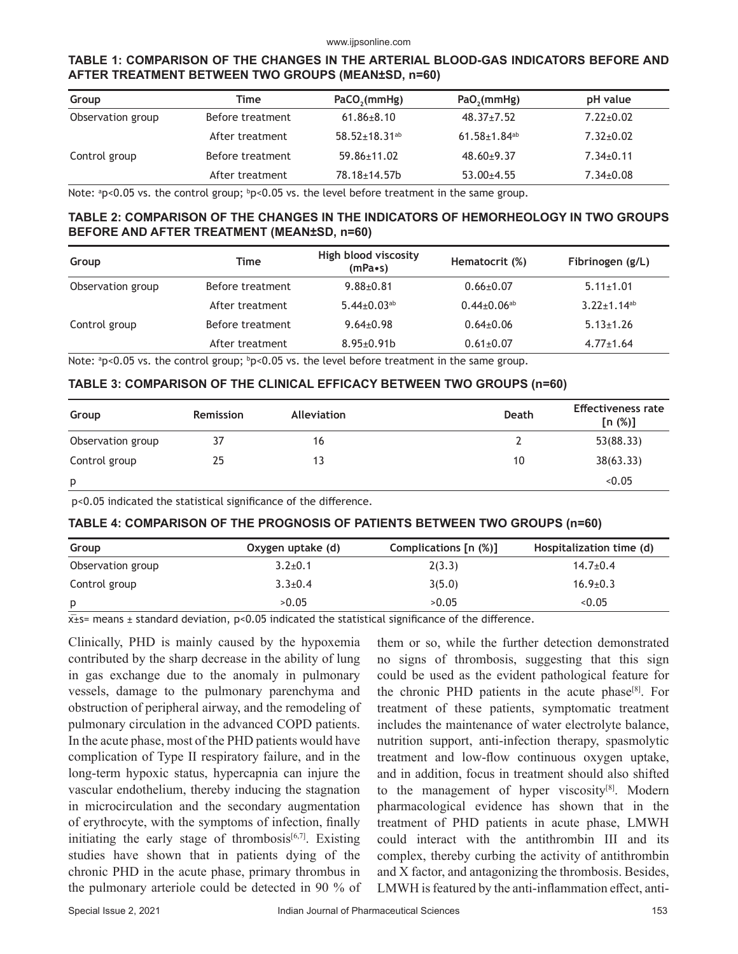#### www.ijpsonline.com

# **TABLE 1: COMPARISON OF THE CHANGES IN THE ARTERIAL BLOOD-GAS INDICATORS BEFORE AND AFTER TREATMENT BETWEEN TWO GROUPS (MEAN±SD, n=60)**

| Group<br>Time     |                  | PaCO <sub>2</sub> (mmHg)        | PaO <sub>2</sub> (mmHg)        | pH value        |  |
|-------------------|------------------|---------------------------------|--------------------------------|-----------------|--|
| Observation group | Before treatment | $61.86 \pm 8.10$                | $48.37 \pm 7.52$               | $7.22 \pm 0.02$ |  |
|                   | After treatment  | $58.52 \pm 18.31$ <sup>ab</sup> | $61.58 \pm 1.84$ <sup>ab</sup> | $7.32 + 0.02$   |  |
| Control group     | Before treatment | 59.86±11.02                     | $48.60+9.37$                   | $7.34 \pm 0.11$ |  |
|                   | After treatment  | 78.18±14.57b                    | $53.00 \pm 4.55$               | $7.34 \pm 0.08$ |  |

Note:  $p<sub>0.05</sub>$  vs. the control group;  $p<sub>0.05</sub>$  vs. the level before treatment in the same group.

# **TABLE 2: COMPARISON OF THE CHANGES IN THE INDICATORS OF HEMORHEOLOGY IN TWO GROUPS BEFORE AND AFTER TREATMENT (MEAN±SD, n=60)**

| Group             | Time             | High blood viscosity<br>$(mPa \cdot s)$ | Hematocrit (%)                | Fibrinogen (g/L)              |
|-------------------|------------------|-----------------------------------------|-------------------------------|-------------------------------|
| Observation group | Before treatment | $9.88 + 0.81$                           | $0.66 \pm 0.07$               | $5.11 \pm 1.01$               |
|                   | After treatment  | $5.44 \pm 0.03$ <sup>ab</sup>           | $0.44 \pm 0.06$ <sup>ab</sup> | $3.22 \pm 1.14$ <sup>ab</sup> |
| Control group     | Before treatment | $9.64 + 0.98$                           | $0.64 \pm 0.06$               | $5.13 \pm 1.26$               |
|                   | After treatment  | $8.95 \pm 0.91$                         | $0.61 \pm 0.07$               | $4.77 \pm 1.64$               |

Note:  $p>0.05$  vs. the control group;  $p>0.05$  vs. the level before treatment in the same group.

#### **TABLE 3: COMPARISON OF THE CLINICAL EFFICACY BETWEEN TWO GROUPS (n=60)**

| Group             | Remission | Alleviation | Death | <b>Effectiveness rate</b><br>[n (%)] |
|-------------------|-----------|-------------|-------|--------------------------------------|
| Observation group | 37        | 16          |       | 53(88.33)                            |
| Control group     | 25        | 13          | 10    | 38(63.33)                            |
| p                 |           |             |       | < 0.05                               |

p<0.05 indicated the statistical significance of the difference.

#### **TABLE 4: COMPARISON OF THE PROGNOSIS OF PATIENTS BETWEEN TWO GROUPS (n=60)**

| Group             | Oxygen uptake (d) | Complications [n (%)] | Hospitalization time (d) |
|-------------------|-------------------|-----------------------|--------------------------|
| Observation group | $3.2 \pm 0.1$     | 2(3.3)                | $14.7 \pm 0.4$           |
| Control group     | $3.3 \pm 0.4$     | 3(5.0)                | $16.9 \pm 0.3$           |
| p                 | >0.05             | >0.05                 | < 0.05                   |

 $x$ <sup> $\overline{x}$ </sup>  $\overline{x}$  = means  $\pm$  standard deviation, p<0.05 indicated the statistical significance of the difference.

Clinically, PHD is mainly caused by the hypoxemia contributed by the sharp decrease in the ability of lung in gas exchange due to the anomaly in pulmonary vessels, damage to the pulmonary parenchyma and obstruction of peripheral airway, and the remodeling of pulmonary circulation in the advanced COPD patients. In the acute phase, most of the PHD patients would have complication of Type II respiratory failure, and in the long-term hypoxic status, hypercapnia can injure the vascular endothelium, thereby inducing the stagnation in microcirculation and the secondary augmentation of erythrocyte, with the symptoms of infection, finally initiating the early stage of thrombosis $[6,7]$ . Existing studies have shown that in patients dying of the chronic PHD in the acute phase, primary thrombus in the pulmonary arteriole could be detected in 90 % of them or so, while the further detection demonstrated no signs of thrombosis, suggesting that this sign could be used as the evident pathological feature for the chronic PHD patients in the acute phase $[8]$ . For treatment of these patients, symptomatic treatment includes the maintenance of water electrolyte balance, nutrition support, anti-infection therapy, spasmolytic treatment and low-flow continuous oxygen uptake, and in addition, focus in treatment should also shifted to the management of hyper viscosity $[8]$ . Modern pharmacological evidence has shown that in the treatment of PHD patients in acute phase, LMWH could interact with the antithrombin III and its complex, thereby curbing the activity of antithrombin and X factor, and antagonizing the thrombosis. Besides, LMWH is featured by the anti-inflammation effect, anti-